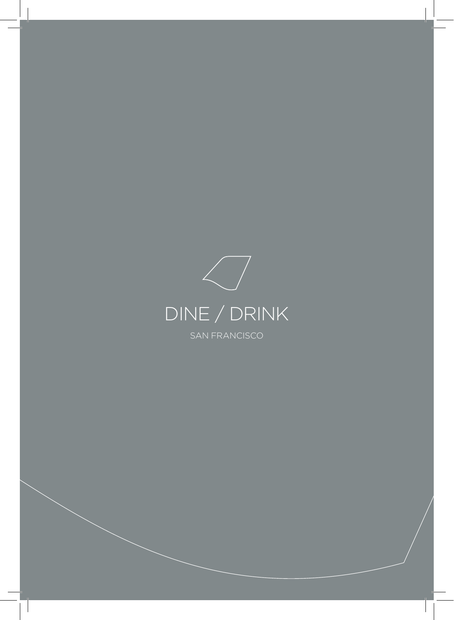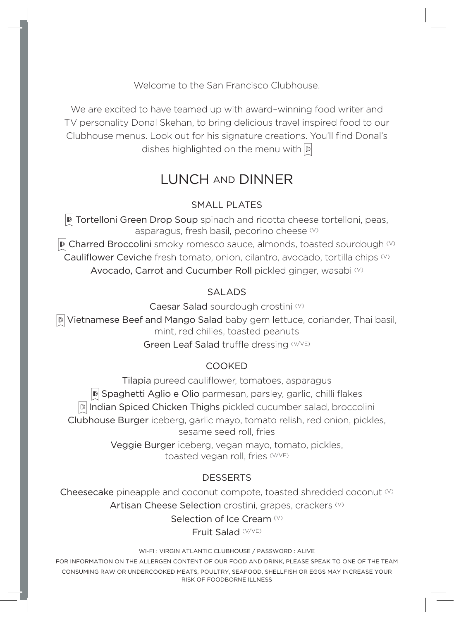Welcome to the San Francisco Clubhouse.

We are excited to have teamed up with award–winning food writer and TV personality Donal Skehan, to bring delicious travel inspired food to our Clubhouse menus. Look out for his signature creations. You'll find Donal's dishes highlighted on the menu with  $\mathbb{D}$ 

# LUNCH AND DINNER

#### SMALL PLATES

**D** Tortelloni Green Drop Soup spinach and ricotta cheese tortelloni, peas, asparagus, fresh basil, pecorino cheese (V)

 $\overline{D}$  Charred Broccolini smoky romesco sauce, almonds, toasted sourdough  $\heartsuit$ Cauliflower Ceviche fresh tomato, onion, cilantro, avocado, tortilla chips (V) Avocado, Carrot and Cucumber Roll pickled ginger, wasabi (V)

#### SALADS

Caesar Salad sourdough crostini (V)

Vietnamese Beef and Mango Salad baby gem lettuce, coriander, Thai basil, mint, red chilies, toasted peanuts

Green Leaf Salad truffle dressing (V/VE)

#### COOKED

Tilapia pureed cauliflower, tomatoes, asparagus **D** Spaghetti Aglio e Olio parmesan, parsley, garlic, chilli flakes Indian Spiced Chicken Thighs pickled cucumber salad, broccolini Clubhouse Burger iceberg, garlic mayo, tomato relish, red onion, pickles, sesame seed roll, fries

> Veggie Burger iceberg, vegan mayo, tomato, pickles, toasted vegan roll, fries (V/VE)

#### **DESSERTS**

Cheesecake pineapple and coconut compote, toasted shredded coconut (V) Artisan Cheese Selection crostini, grapes, crackers (V)

Selection of Ice Cream (V)

Fruit Salad (V/VE)

WI-FI : VIRGIN ATLANTIC CLUBHOUSE / PASSWORD : ALIVE

FOR INFORMATION ON THE ALLERGEN CONTENT OF OUR FOOD AND DRINK, PLEASE SPEAK TO ONE OF THE TEAM CONSUMING RAW OR UNDERCOOKED MEATS, POULTRY, SEAFOOD, SHELLFISH OR EGGS MAY INCREASE YOUR RISK OF FOODBORNE ILLNESS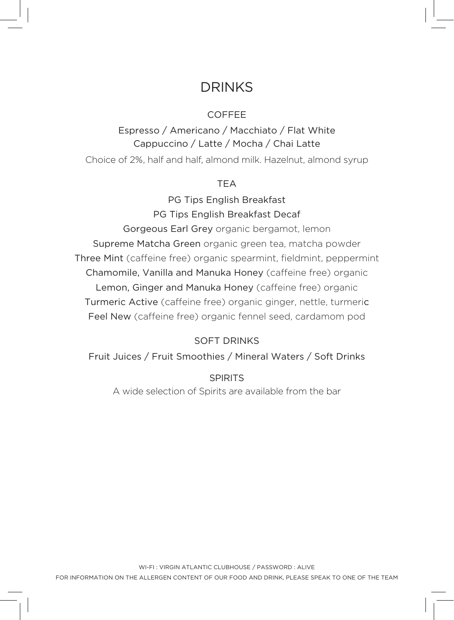# DRINKS

#### COFFEE

Espresso / Americano / Macchiato / Flat White Cappuccino / Latte / Mocha / Chai Latte Choice of 2%, half and half, almond milk. Hazelnut, almond syrup

#### TEA

PG Tips English Breakfast PG Tips English Breakfast Decaf

Gorgeous Earl Grey organic bergamot, lemon Supreme Matcha Green organic green tea, matcha powder Three Mint (caffeine free) organic spearmint, fieldmint, peppermint Chamomile, Vanilla and Manuka Honey (caffeine free) organic Lemon, Ginger and Manuka Honey (caffeine free) organic Turmeric Active (caffeine free) organic ginger, nettle, turmeric Feel New (caffeine free) organic fennel seed, cardamom pod

## SOFT DRINKS

Fruit Juices / Fruit Smoothies / Mineral Waters / Soft Drinks

SPIRITS A wide selection of Spirits are available from the bar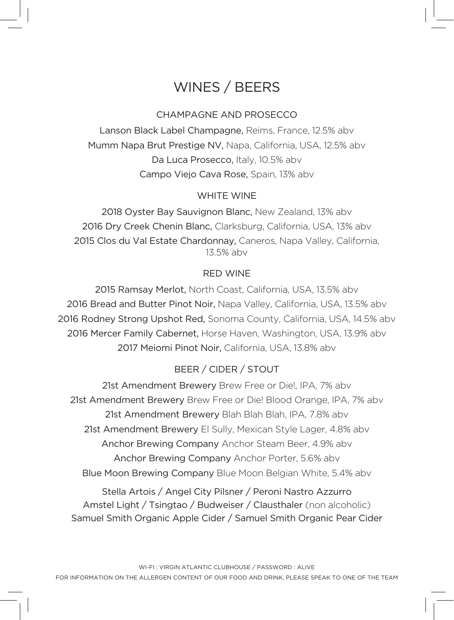# WINES / BEERS

### CHAMPAGNE AND PROSECCO

Lanson Black Label Champagne, Reims, France, 12.5% abv Mumm Napa Brut Prestige NV, Napa, California, USA, 12.5% abv Da Luca Prosecco, Italy, 10.5% abv Campo Viejo Cava Rose, Spain, 13% abv

#### WHITE WINE

2018 Oyster Bay Sauvignon Blanc, New Zealand, 13% abv 2016 Dry Creek Chenin Blanc, Clarksburg, California, USA, 13% abv 2015 Clos du Val Estate Chardonnay, Caneros, Napa Valley, California, 13.5% abv

#### RED WINE

2015 Ramsay Merlot, North Coast, California, USA, 13.5% abv 2016 Bread and Butter Pinot Noir, Napa Valley, California, USA, 13.5% abv 2016 Rodney Strong Upshot Red, Sonoma County, California, USA, 14.5% abv 2016 Mercer Family Cabernet, Horse Haven, Washington, USA, 13.9% abv 2017 Meiomi Pinot Noir, California, USA, 13.8% abv

## BEER / CIDER / STOUT

21st Amendment Brewery Brew Free or Die!, IPA, 7% abv 21st Amendment Brewery Brew Free or Die! Blood Orange, IPA, 7% abv 21st Amendment Brewery Blah Blah Blah, IPA, 7.8% abv 21st Amendment Brewery El Sully, Mexican Style Lager, 4.8% abv Anchor Brewing Company Anchor Steam Beer, 4.9% abv Anchor Brewing Company Anchor Porter, 5.6% abv Blue Moon Brewing Company Blue Moon Belgian White, 5.4% abv

Stella Artois / Angel City Pilsner / Peroni Nastro Azzurro Amstel Light / Tsingtao / Budweiser / Clausthaler (non alcoholic) Samuel Smith Organic Apple Cider / Samuel Smith Organic Pear Cider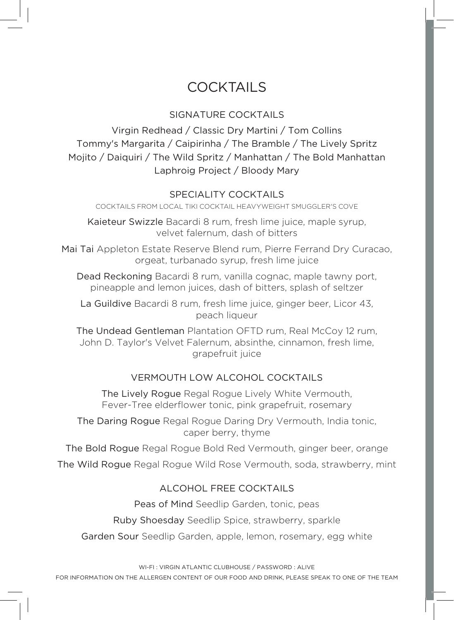# **COCKTAILS**

## SIGNATURE COCKTAILS

Virgin Redhead / Classic Dry Martini / Tom Collins Tommy's Margarita / Caipirinha / The Bramble / The Lively Spritz Mojito / Daiquiri / The Wild Spritz / Manhattan / The Bold Manhattan Laphroig Project / Bloody Mary

#### SPECIALITY COCKTAILS

COCKTAILS FROM LOCAL TIKI COCKTAIL HEAVYWEIGHT SMUGGLER'S COVE

Kaieteur Swizzle Bacardi 8 rum, fresh lime juice, maple syrup, velvet falernum, dash of bitters

Mai Tai Appleton Estate Reserve Blend rum, Pierre Ferrand Dry Curacao, orgeat, turbanado syrup, fresh lime juice

Dead Reckoning Bacardi 8 rum, vanilla cognac, maple tawny port, pineapple and lemon juices, dash of bitters, splash of seltzer

La Guildive Bacardi 8 rum, fresh lime juice, ginger beer, Licor 43, peach liqueur

The Undead Gentleman Plantation OFTD rum, Real McCoy 12 rum, John D. Taylor's Velvet Falernum, absinthe, cinnamon, fresh lime, grapefruit juice

## VERMOUTH LOW ALCOHOL COCKTAILS

The Lively Rogue Regal Rogue Lively White Vermouth, Fever-Tree elderflower tonic, pink grapefruit, rosemary

The Daring Rogue Regal Rogue Daring Dry Vermouth, India tonic, caper berry, thyme

The Bold Rogue Regal Rogue Bold Red Vermouth, ginger beer, orange The Wild Rogue Regal Rogue Wild Rose Vermouth, soda, strawberry, mint

#### ALCOHOL FREE COCKTAILS

Peas of Mind Seedlip Garden, tonic, peas

Ruby Shoesday Seedlip Spice, strawberry, sparkle

Garden Sour Seedlip Garden, apple, lemon, rosemary, egg white

WI-FI : VIRGIN ATLANTIC CLUBHOUSE / PASSWORD : ALIVE

FOR INFORMATION ON THE ALLERGEN CONTENT OF OUR FOOD AND DRINK, PLEASE SPEAK TO ONE OF THE TEAM